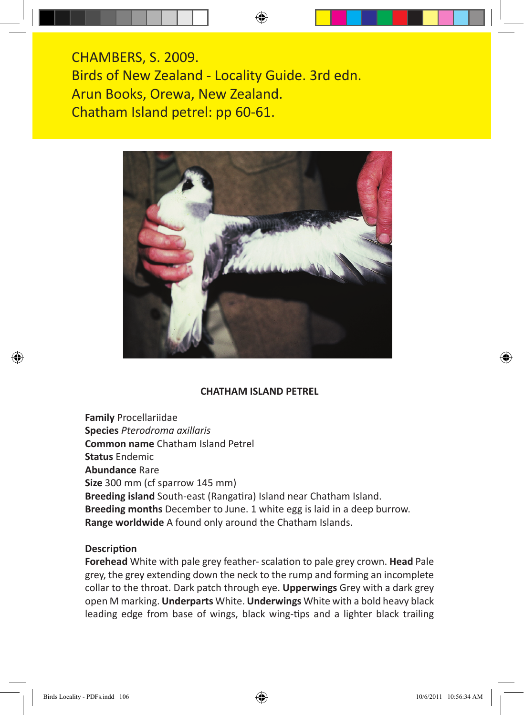CHAMBERS, S. 2009. Birds of New Zealand - Locality Guide. 3rd edn. Arun Books, Orewa, New Zealand. Chatham Island petrel: pp 60-61.



## **CHATHAM ISLAND PETREL**

**Family** Procellariidae **Species** *Pterodroma axillaris* **Common name** Chatham Island Petrel **Status** Endemic **Abundance** Rare **Size** 300 mm (cf sparrow 145 mm) **Breeding island** South-east (Rangatira) Island near Chatham Island. **Breeding months** December to June. 1 white egg is laid in a deep burrow. **Range worldwide** A found only around the Chatham Islands.

## **Description**

**Forehead** White with pale grey feather- scalation to pale grey crown. **Head** Pale grey, the grey extending down the neck to the rump and forming an incomplete collar to the throat. Dark patch through eye. **Upperwings** Grey with a dark grey open M marking. **Underparts** White. **Underwings** White with a bold heavy black leading edge from base of wings, black wing-tips and a lighter black trailing